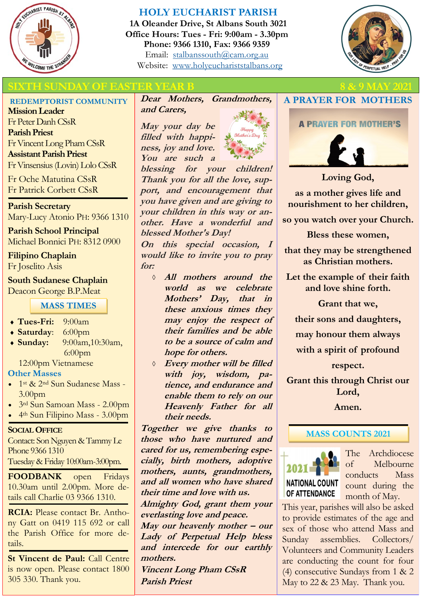

# **HOLY EUCHARIST PARISH**

**1A Oleander Drive, St Albans South 3021 Office Hours: Tues - Fri: 9:00am - 3.30pm Phone: 9366 1310, Fax: 9366 9359** Email: [stalbanssouth@cam.org.au](mailto:stalbanssouth@cam.org.au) Website:[www.holyeuchariststalbans.org](http://www.holyeuchariststalbans.org)



# **SIXTH SUNDAY OF EASTER YEAR B**

# **REDEMPTORIST COMMUNITY**

**Mission Leader** Fr Peter Danh CSsR **Parish Priest** Fr Vincent Long Pham CSsR **Assistant Parish Priest**  Fr Vinsensius (Lovin) Lolo CSsR

Fr Oche Matutina CSsR Fr Patrick Corbett CSsR

**Parish Secretary** Mary-Lucy Atonio PH: 9366 1310

**Parish School Principal** Michael Bonnici PH: 8312 0900

**Filipino Chaplain** Fr Joselito Asis

**South Sudanese Chaplain** Deacon George B.P.Meat

**MASS TIMES**

- **Tues-Fri:** 9:00am
- **Saturday**: 6:00pm
- **Sunday:** 9:00am,10:30am, 6:00pm

12:00pm Vietnamese

#### **Other Masses**

- 1<sup>st</sup> & 2<sup>nd</sup> Sun Sudanese Mass -3.00pm
- 3rd Sun Samoan Mass 2.00pm
- 4th Sun Filipino Mass 3.00pm

#### **SOCIAL OFFICE**

Contact: Son Nguyen & Tammy Le Phone 9366 1310 Tuesday & Friday 10:00am-3:00pm.

**FOODBANK** open Fridays 10.30am until 2.00pm. More details call Charlie 03 9366 1310.

**RCIA:** Please contact Br. Anthony Gatt on 0419 115 692 or call the Parish Office for more details.

**St Vincent de Paul:** Call Centre is now open. Please contact 1800 305 330. Thank you.

# **Dear Mothers, Grandmothers, and Carers,**

**May your day be filled with happiness, joy and love. You are such a** 

**blessing for your children! Thank you for all the love, support, and encouragement that you have given and are giving to your children in this way or another. Have a wonderful and blessed Mother's Day!**

**On this special occasion, I would like to invite you to pray for:**

- **All mothers around the world as we celebrate Mothers' Day, that in these anxious times they may enjoy the respect of their families and be able to be a source of calm and hope for others.**
- **Every mother will be filled with joy, wisdom, patience, and endurance and enable them to rely on our Heavenly Father for all their needs.**

**Together we give thanks to those who have nurtured and cared for us, remembering especially, birth mothers, adoptive mothers, aunts, grandmothers, and all women who have shared their time and love with us. Almighty God, grant them your everlasting love and peace. May our heavenly mother – our Lady of Perpetual Help bless and intercede for our earthly mothers. Vincent Long Pham CSsR Parish Priest**



# **A PRAYER FOR MOTHER'S**



**Loving God, as a mother gives life and nourishment to her children,**

**so you watch over your Church.**

**Bless these women,**

**that they may be strengthened as Christian mothers.**

**Let the example of their faith and love shine forth.**

**Grant that we,** 

**their sons and daughters,**

**may honour them always**

**with a spirit of profound** 

**respect.**

**Grant this through Christ our Lord,**

**Amen.**

# **MASS COUNTS 2021**



The Archdiocese of Melbourne conducts Mass count during the month of May.

This year, parishes will also be asked to provide estimates of the age and sex of those who attend Mass and Sunday assemblies. Collectors/ Volunteers and Community Leaders are conducting the count for four (4) consecutive Sundays from 1 & 2 May to 22 & 23 May. Thank you.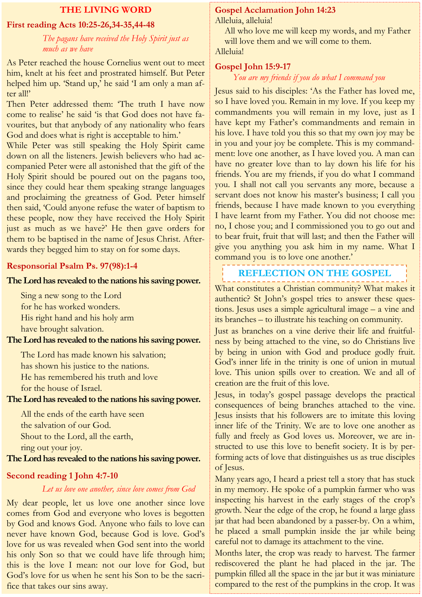#### **THE LIVING WORD**

#### **First reading Acts 10:25-26,34-35,44-48**

*The pagans have received the Holy Spirit just as much as we have*

As Peter reached the house Cornelius went out to meet him, knelt at his feet and prostrated himself. But Peter helped him up. 'Stand up,' he said 'I am only a man after all!'

Then Peter addressed them: 'The truth I have now come to realise' he said 'is that God does not have favourites, but that anybody of any nationality who fears God and does what is right is acceptable to him.'

While Peter was still speaking the Holy Spirit came down on all the listeners. Jewish believers who had accompanied Peter were all astonished that the gift of the Holy Spirit should be poured out on the pagans too, since they could hear them speaking strange languages and proclaiming the greatness of God. Peter himself then said, 'Could anyone refuse the water of baptism to these people, now they have received the Holy Spirit just as much as we have?' He then gave orders for them to be baptised in the name of Jesus Christ. Afterwards they begged him to stay on for some days.

#### **Responsorial Psalm Ps. 97(98):1-4**

#### **The Lord has revealed to the nations his saving power.**

Sing a new song to the Lord for he has worked wonders. His right hand and his holy arm have brought salvation.

# **The Lord has revealed to the nations his saving power.**

The Lord has made known his salvation; has shown his justice to the nations. He has remembered his truth and love for the house of Israel.

#### **The Lord has revealed to the nations his saving power.**

All the ends of the earth have seen the salvation of our God. Shout to the Lord, all the earth, ring out your joy.

# **The Lord has revealed to the nations his saving power.**

#### **Second reading 1 John 4:7-10**

#### *Let us love one another, since love comes from God*

My dear people, let us love one another since love comes from God and everyone who loves is begotten by God and knows God. Anyone who fails to love can never have known God, because God is love. God's love for us was revealed when God sent into the world his only Son so that we could have life through him; this is the love I mean: not our love for God, but God's love for us when he sent his Son to be the sacrifice that takes our sins away.

# **Gospel Acclamation John 14:23**

Alleluia, alleluia!

All who love me will keep my words, and my Father will love them and we will come to them. Alleluia!

# **Gospel John 15:9-17**

#### *You are my friends if you do what I command you*

Jesus said to his disciples: 'As the Father has loved me, so I have loved you. Remain in my love. If you keep my commandments you will remain in my love, just as I have kept my Father's commandments and remain in his love. I have told you this so that my own joy may be in you and your joy be complete. This is my commandment: love one another, as I have loved you. A man can have no greater love than to lay down his life for his friends. You are my friends, if you do what I command you. I shall not call you servants any more, because a servant does not know his master's business; I call you friends, because I have made known to you everything I have learnt from my Father. You did not choose me: no, I chose you; and I commissioned you to go out and to bear fruit, fruit that will last; and then the Father will give you anything you ask him in my name. What I command you is to love one another.'

# **REFLECTION ON THE GOSPEL**

What constitutes a Christian community? What makes it authentic? St John's gospel tries to answer these questions. Jesus uses a simple agricultural image – a vine and its branches – to illustrate his teaching on community.

Just as branches on a vine derive their life and fruitfulness by being attached to the vine, so do Christians live by being in union with God and produce godly fruit. God's inner life in the trinity is one of union in mutual love. This union spills over to creation. We and all of creation are the fruit of this love.

Jesus, in today's gospel passage develops the practical consequences of being branches attached to the vine. Jesus insists that his followers are to imitate this loving inner life of the Trinity. We are to love one another as fully and freely as God loves us. Moreover, we are instructed to use this love to benefit society. It is by performing acts of love that distinguishes us as true disciples of Jesus.

Many years ago, I heard a priest tell a story that has stuck in my memory. He spoke of a pumpkin farmer who was inspecting his harvest in the early stages of the crop's growth. Near the edge of the crop, he found a large glass jar that had been abandoned by a passer-by. On a whim, he placed a small pumpkin inside the jar while being careful not to damage its attachment to the vine.

Months later, the crop was ready to harvest. The farmer rediscovered the plant he had placed in the jar. The pumpkin filled all the space in the jar but it was miniature compared to the rest of the pumpkins in the crop. It was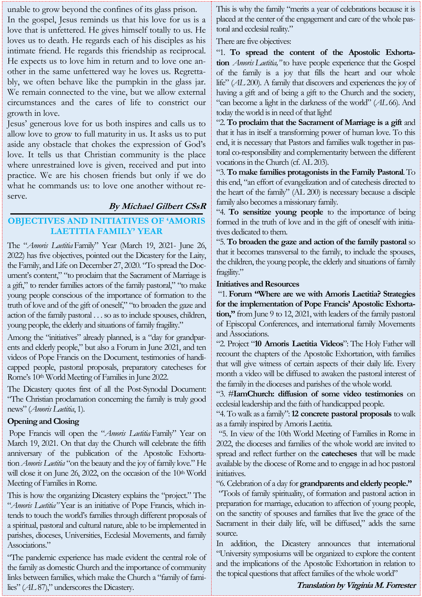unable to grow beyond the confines of its glass prison. In the gospel, Jesus reminds us that his love for us is a love that is unfettered. He gives himself totally to us. He loves us to death. He regards each of his disciples as his intimate friend. He regards this friendship as reciprocal. He expects us to love him in return and to love one another in the same unfettered way he loves us. Regrettably, we often behave like the pumpkin in the glass jar. We remain connected to the vine, but we allow external circumstances and the cares of life to constrict our growth in love.

Jesus' generous love for us both inspires and calls us to allow love to grow to full maturity in us. It asks us to put aside any obstacle that chokes the expression of God's love. It tells us that Christian community is the place where unrestrained love is given, received and put into practice. We are his chosen friends but only if we do what he commands us: to love one another without reserve.

# **By Michael Gilbert CSsR**

# **OBJECTIVES AND INITIATIVES OF 'AMORIS LAETITIA FAMILY' YEAR**

The "*Amoris Laetitia* Family" Year (March 19, 2021- June 26, 2022) has five objectives, pointed out the Dicastery for the Laity, the Family, and Life on December 27, 2020. "To spread the Document's content," "to proclaim that the Sacrament of Marriage is a gift," to render families actors of the family pastoral," "to make young people conscious of the importance of formation to the truth of love and of the gift of oneself," "to broaden the gaze and action of the family pastoral . . . so as to include spouses, children, young people, the elderly and situations of family fragility."

Among the "initiatives" already planned, is a "day for grandparents and elderly people," but also a Forum in June 2021, and ten videos of Pope Francis on the Document, testimonies of handicapped people, pastoral proposals, preparatory catecheses for Rome's 10th World Meeting of Families in June 2022.

The Dicastery quotes first of all the Post-Synodal Document: "The Christian proclamation concerning the family is truly good news" (*Amoris Laetitia*, 1).

# **Opening and Closing**

Pope Francis will open the "*Amoris Laetitia* Family" Year on March 19, 2021. On that day the Church will celebrate the fifth anniversary of the publication of the Apostolic Exhortation *Amoris Laetitia* "on the beauty and the joy of family love." He will close it on June 26, 2022, on the occasion of the  $10<sup>th</sup>$  World Meeting of Families in Rome.

This is how the organizing Dicastery explains the "project." The "*Amoris Laetitia"* Year is an initiative of Pope Francis, which intends to touch the world's families through different proposals of a spiritual, pastoral and cultural nature, able to be implemented in parishes, dioceses, Universities, Ecclesial Movements, and family Associations."

"The pandemic experience has made evident the central role of the family as domestic Church and the importance of community links between families, which make the Church a "family of families" (*AL* 87)," underscores the Dicastery.

This is why the family "merits a year of celebrations because it is placed at the center of the engagement and care of the whole pastoral and ecclesial reality."

# There are five objectives:

"1. **To spread the content of the Apostolic Exhortation** *Amoris Laetitia,"* to have people experience that the Gospel of the family is a joy that fills the heart and our whole life" (*AL* 200). A family that discovers and experiences the joy of having a gift and of being a gift to the Church and the society, "can become a light in the darkness of the world" (*AL*66). And today the world is in need of that light!

"2.**To proclaim that the Sacrament of Marriage is a gift** and that it has in itself a transforming power of human love. To this end, it is necessary that Pastors and families walk together in pastoral co-responsibility and complementarity between the different vocations in the Church (cf.AL 203).

"3.**To make families protagonists in the Family Pastoral**.To this end, "an effort of evangelization and of catechesis directed to the heart of the family" (AL 200) is necessary because a disciple family also becomes a missionary family.

"4. **To sensitize young people** to the importance of being formed in the truth of love and in the gift of oneself with initiatives dedicated to them.

"5.**To broaden the gaze and action of the family pastoral** so that it becomes transversal to the family, to include the spouses, the children, the young people, the elderly and situations of family fragility."

# **Initiatives and Resources**

"1. **Forum "Where are we with Amoris Laetitia? Strategies for the implementation of Pope Francis' Apostolic Exhortation,"** from June 9 to 12, 2021, with leaders of the family pastoral of Episcopal Conferences, and international family Movements and Associations.

"2. Project "**10 Amoris Laetitia Videos**": The Holy Father will recount the chapters of the Apostolic Exhortation, with families that will give witness of certain aspects of their daily life. Every month a video will be diffused to awaken the pastoral interest of the family in the dioceses and parishes of the whole world.

"3. #**IamChurch: diffusion of some video testimonies** on ecclesial leadership and the faith of handicapped people.

"4. To walk as a family":**12 concrete pastoral proposals** to walk as a family inspired byAmoris Laetitia.

"5. In view of the 10th World Meeting of Families in Rome in 2022, the dioceses and families of the whole world are invited to spread and reflect further on the **catecheses** that will be made available by the diocese of Rome and to engage in ad hoc pastoral initiatives.

"6. Celebration of a day for **grandparents and elderly people."**

"Tools of family spirituality, of formation and pastoral action in preparation for marriage, education to affection of young people, on the sanctity of spouses and families that live the grace of the Sacrament in their daily life, will be diffused," adds the same source.

In addition, the Dicastery announces that international "University symposiums will be organized to explore the content and the implications of the Apostolic Exhortation in relation to the topical questions that affect families of the whole world"

**Translation by Virginia M. Forrester**